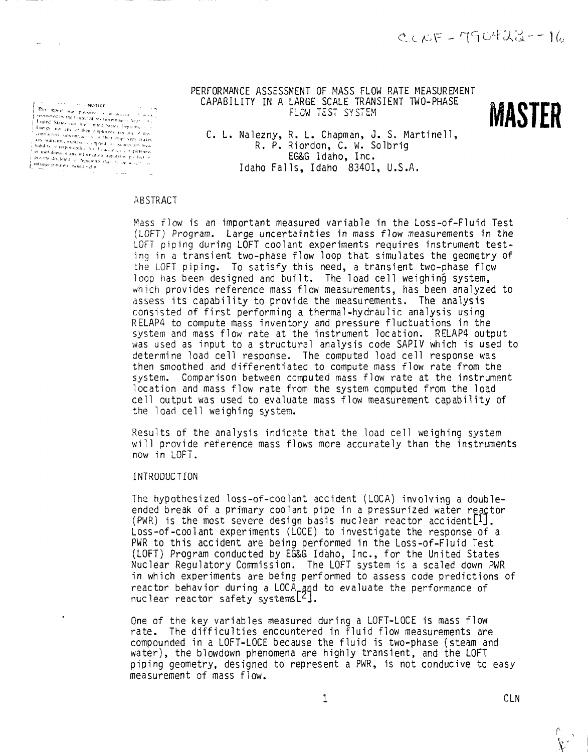Yestows objective interactive voluments (see Figure 1997). The properties of the line of Marky Ton any of the conflictions subcontraction of their employees, not any of the conflictions subcontraction (see The complication For while the constraints computed in the state of the Millelly supposed in the proposed of a sympator and particular the proposed of the state of the proposed of the proposed of the state of the state of the state of the

PERFORMANCE ASSESSMENT OF MASS FLOW RATE MEASUREMENT CAPABILITY IN A LARGE SCALE TRANSIENT TWO-PHASE<br>ELOW TEST SYSTEM "V'T <sup>1</sup> • "-•" FLOW TEST SYSTEM



C. L. Nalezny, R. L. Chapman, J. S. Martinell, R. P. Riordon, C. W. Solbrig EG&6 Idaho, Inc. Idaho Falls, Idaho 83401, U.S.A.

## ABSTRACT

Mass flow is an important measured variable in the Loss-of-Fluid Test (LOFT) Program. Large uncertainties in mass flow measurements in the LOFT piping during LOFT coolant experiments requires instrument testing in a transient two-phase flow loop that simulates the geometry of the LOFT piping. To satisfy this need, a transient two-phase flow loop has been designed and built. The load cell weighing system, which provides reference mass flow measurements, has been analyzed to assess its capability to provide the measurements. The analysis consisted of first performing a thermal-hydraulic analysis using RELAP4 to compute mass inventory and pressure fluctuations in the system and mass flow rate at the instrument location. RELAP4 output was used as input to a structural analysis code SAPIV which is used to determine load cell response. The computed load cell response was then smoothed and differentiated to compute mass flow rate from the system. Comparison between computed mass flow rate at the instrument location and mass flow rate from the system computed from the load cell output was used to evaluate mass flow measurement capability of the load cell weighing system.

Results of the analysis indicate that the load cell weighing system will provide reference mass flows more accurately than the instruments now in LOFT.

## INTRODUCTION

The hypothesized loss-of-coolant accident (LOCA) involving a doubleended break of a primary coolant pipe in a pressurized water reactor (PWR) is the most severe design basis nuclear reactor accident $[1]$ . Loss-of-coolant experiments (LOCE) to investigate the response of a PWR to this accident are being performed in the Loss-of-Fluid Test (LOFT) Program conducted by EG&G Idaho, Inc., for the United States Nuclear Regulatory Commission. The LOFT system is a scaled down PWR in which experiments are being performed to assess code predictions of reactor behavior during a LOCA\_and to evaluate the performance of nuclear reactor safety systemsL^J.

One of the key variables measured during a LOFT-LOCE is mass flow rate. The difficulties encountered in fluid flow measurements are compounded in a LOFT-LOCE because the fluid is two-phase (steam and water), the blowdown phenomena are highly transient, and the LOFT piping geometry, designed to represent a PWR, is not conducive to easy measurement of mass flow.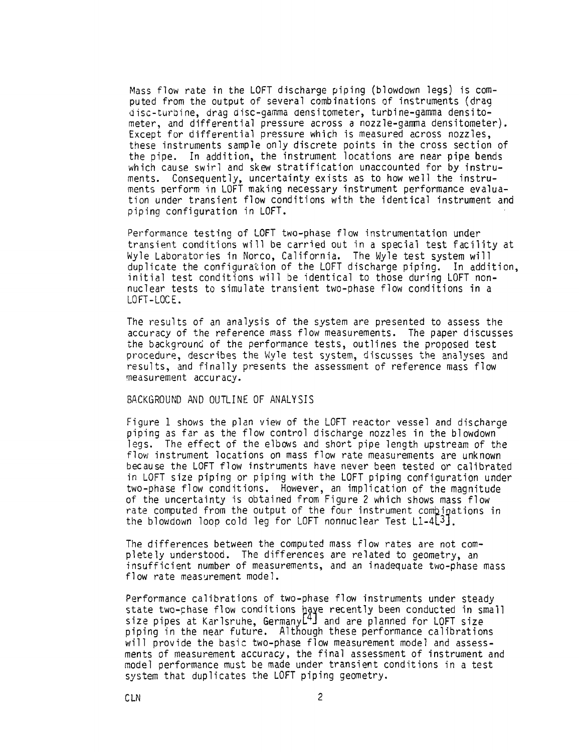Mass flow rate in the LOFT discharge piping (blowdown legs) is computed from the output of several combinations of instruments (drag disc-turbine, drag disc-gamma densitometer, turbine-gamma densitometer, and differential pressure across a nozzle-gamma densitometer). Except for differential pressure which is measured across nozzles, these instruments sample only discrete points in the cross section of the pipe. In addition, the instrument locations are near pipe bends which cause swirl and skew stratification unaccounted for by instruments. Consequently, uncertainty exists as to how well the instruments perform in LOFT making necessary instrument performance evaluation under transient flow conditions with the identical instrument and piping configuration in LOFT.

Performance testing of LOFT two-phase flow instrumentation under transient conditions will be carried out in a special test facility at Wyle Laboratories in Norco, California. The Wyle test system will duplicate the configuration of the LOFT discharge piping. In addition, initial test conditions will be identical to those during LOFT nonnuclear tests to simulate transient two-phase flow conditions in a LOFT-LOCE.

The results of an analysis of the system are presented to assess the accuracy of the reference mass flow measurements. The paper discusses the background of the performance tests, outlines the proposed test procedure, describes the Wyle test system, discusses the analyses and results, and finally presents the assessment of reference mass flow measurement accuracy.

## BACKGROUND AND OUTLINE OF ANALYSIS

Figure 1 shows the plan view of the LOFT reactor vessel and discharge piping as far as the flow control discharge nozzles in the blowdown legs. The effect of the elbows and short pipe length upstream of the flow instrument locations on mass flow rate measurements are unknown because the LOFT flow instruments have never been tested or calibrated in LOFT size piping or piping with the LOFT piping configuration under two-phase flow conditions. However, an implication of the magnitude of the uncertainty is obtained from Figure 2 which shows mass flow rate computed from the output of the four instrument combinations in the blowdown loop cold leg for LOFT nonnuclear Test  $L1-4L3$ .

The differences between the computed mass flow rates are not completely understood. The differences are related to geometry, an insufficient number of measurements, and an inadequate two-phase mass flow rate measurement model.

Performance calibrations of two-phase flow instruments under steady state two-chase flow conditions have recently been conducted in small<br>size pipes at Karlsruhe, Germanyl<sup>4</sup>J and are planned for LOFT size piping in the near future. Although these performance calibrations will provide the basic two-phase flow measurement model and assessments of measurement accuracy, the final assessment of instrument and model performance must be made under transient conditions in a test system that duplicates the LOFT piping geometry.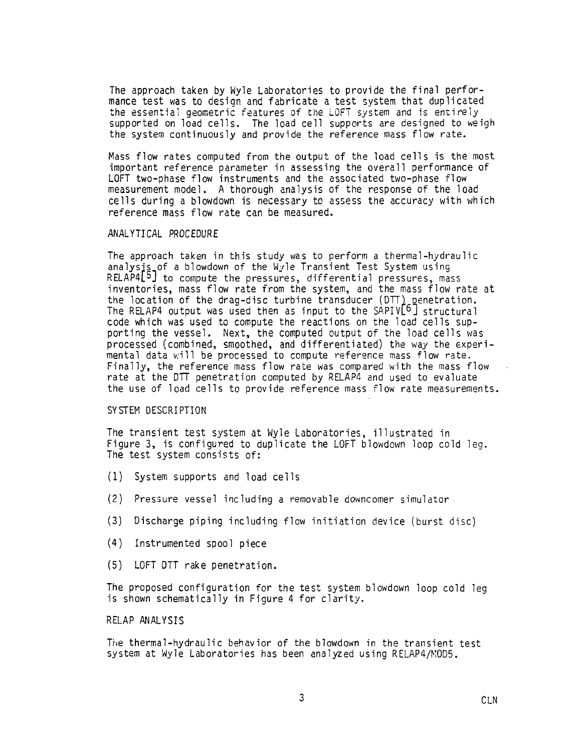The approach taken by Wyle Laboratories to provide the final performance test was to design and fabricate a test system that duplicated the essential geometric features of the LOFT system and is entirely supported on load cells. The load cell supports are designed to weigh the system continuously and provide the reference mass flow rate.

Mass flow rates computed from the output of the load cells is the most important reference parameter in assessing the overall performance of LOFT two-phase flow instruments and the associated two-phase flow measurement model. A thorough analysis of the response of the load cells during a blowdown is necessary to assess the accuracy with which reference mass flow rate can be measured.

# ANALYTICAL PROCEDURE

The approach taken in this study was to perform a thermal-hydraulic analysis of a blowdown of the Wyle Transient Test System using RELAP4[5] to compute the pressures, differential pressures, mass inventories, mass flow rate from the system, and the mass flow rate at the location of the drag-disc turbine transducer  $(DTT)$  penetration. The RELAP4 output was used then as input to the  $SAPIV[6]$  structural code which was used to compute the reactions on the load cells supporting the vessel. Next, the computed output of the load cells was processed (combined, smoothed, and differentiated) the way the experimental data will be processed to compute reference mass flow rate. Finally, the reference mass flow rate was compared with the mass flow rate at the DTT penetration computed by RELAP4 and used to evaluate the use of load cells to provide reference mass flow rate measurements.

## SYSTEM DESCRIPTION

The transient test system at Wyle Laboratories, illustrated in Figure 3, is configured to duplicate the LOFT blowdown loop cold leg. The test system consists of:

- (1) System supports and load cells
- (2) Pressure vessel including a removable downcomer simulator
- (3) Discharge piping including flow initiation device (burst disc)
- (4) Instrumented spool piece
- (5) LOFT DTT rake penetration.

The proposed configuration for the test system blowdown loop cold leg is shown schematically in Figure 4 for clarity.

# RELAP ANALYSIS

The thermal-hydraulic behavior of the blowdown in the transient test system at Wyle Laboratories has been analyzed using RELAP4/M0D5.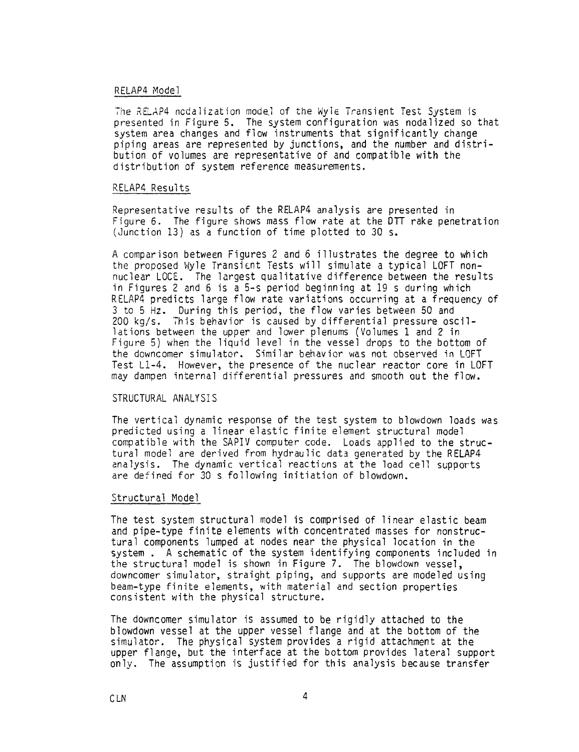#### RELAP4 Model

The RELAP4 nodalization model of the Wyle Transient Test System is presented in Figure 5. The system configuration was nodaiized so that system area changes and flow instruments that significantly change piping areas are represented by junctions, and the number and distribution of volumes are representative of and compatible with the distribution of system reference measurements.

#### RELAP4 Results

Representative results of the RELAP4 analysis are presented in Figure 6. The figure shows mass flow rate at the DTT rake penetration (Junction 13) as a function of time plotted to 30 s.

A comparison between Figures 2 and 6 illustrates the degree to which the proposed Wyle Transient Tests will simulate a typical LOFT nonnuclear LOCE. The largest qualitative difference between the results in Figures 2 and 6 is a 5-s period beginning at 19 s during which RELAP4 predicts large flow rate variations occurring at a frequency of 3 to 5 Hz. During this period, the flow varies between 50 and 200 kg/s. This behavior is caused by differential pressure oscillations between the upper and lower plenums (Volumes 1 and 2 in Figure 5) when the liquid level in the vessel drops to the bottom of the downcomer simulator. Similar behavior was not observed in LOFT Test Ll-4. However, the presence of the nuclear reactor core in LOFT may dampen internal differential pressures and smooth out the flow.

## STRUCTURAL ANALYSIS

The vertical dynamic response of the test system to blowdown loads was predicted using a linear elastic finite element structural model compatible with the SAPIV computer code. Loads applied to the structural model are derived from hydraulic data generated by the RELAP4 analysis. The dynamic vertical reactions at the load cell supports are defined for 30 s following initiation of blowdown.

#### Structural Model

The test system structural model is comprised of linear elastic beam and pipe-type finite elements with concentrated masses for nonstructural components lumped at nodes near the physical location in the system . A schematic of the system identifying components included in the structural model is shown in Figure 7. The blowdown vessel, downcomer simulator, straight piping, and supports are modeled using beam-type finite elements, with material and section properties consistent with the physical structure.

The downcomer simulator is assumed to be rigidly attached to the blowdown vessel at the upper vessel flange and at the bottom of the simulator. The physical system provides a rigid attachment at the upper flange, but the interface at the bottom provides lateral support only. The assumption is justified for this analysis because transfer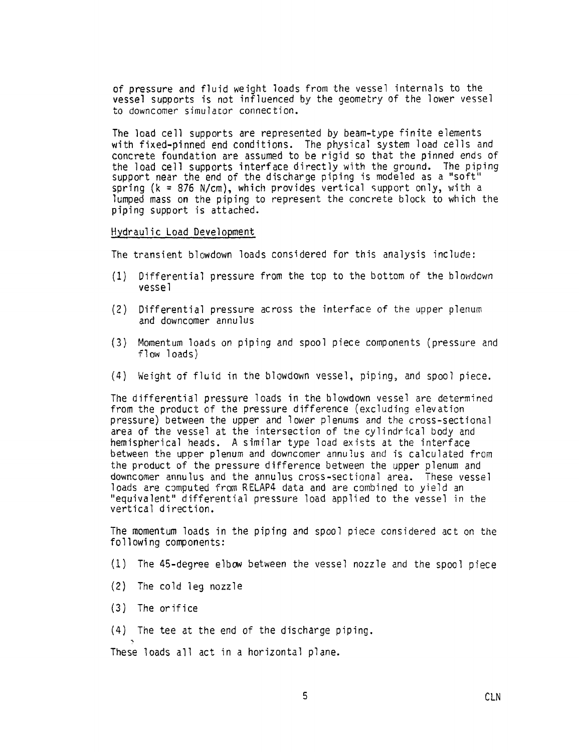of pressure and fluid weight loads from the vessel internals to the vessel supports is not influenced by the geometry of the lower vessel to downcomer simulator connection.

The load cell supports are represented by beam-type finite elements with fixed-pinned end conditions. The physical system load cells and concrete foundation are assumed to be rigid so that the pinned ends of the load cell supports interface directly with the ground. The piping support near the end of the discharge piping is modeled as a "soft" spring (k = 876 N/cm), which provides vertical support only, with a lumped mass on the piping to represent the concrete block to which the piping support is attached.

## Hydraulic Load Development

The transient blowdown loads considered for this analysis include:

- (1) Differential pressure from the top to the bottom of the blowdown vessel
- (2) Differential pressure across the interface of the upper plenum and downcomer annulus
- (3) Momentum loads on piping and spool piece components (pressure and flow loads)
- (4) Weight of fluid in the blowdown vessel, piping, and spool piece.

The differential pressure loads in the blowdown vessel are determined from the product of the pressure difference (excluding elevation pressure) between the upper and lower plenums and the cross-sectional area of the vessel at the intersection of the cylindrical body and hemispherical heads. A similar type load exists at the interface between the upper plenum and downcomer annulus and is calculated from the product of the pressure difference between the upper plenum and downcomer annulus and the annulus cross-sectional area. These vessel loads are computed from RELAP4 data and are combined to yield an "equivalent" differential pressure load applied to the vessel in the vertical direction.

The momentum loads in the piping and spool piece considered act on the following components:

- (1) The 45-degree elbow between the vessel nozzle and the spool piece
- (2) The cold leg nozzle
- (3) The orifice
- (4) The tee at the end of the discharge piping.

These loads all act in a horizontal plane.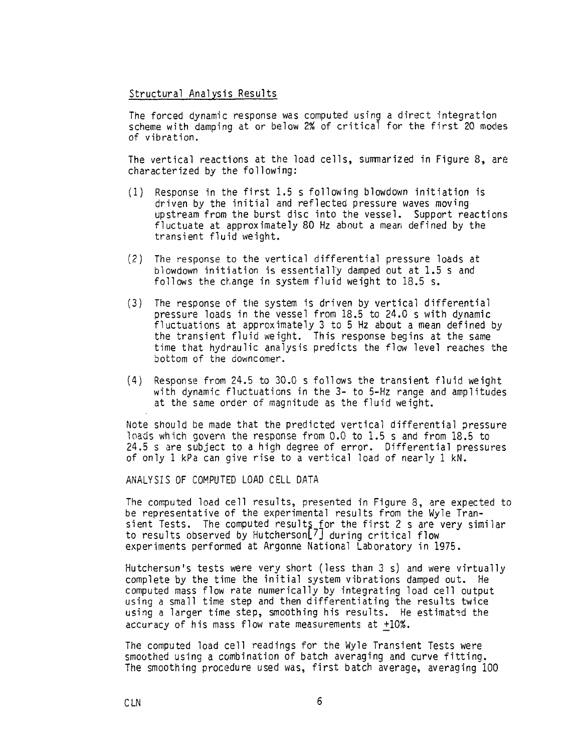## Structural Analysis Results

The forced dynamic response was computed using a direct integration scheme with damping at or below 2% of critical for the first 20 modes of vibration.

The vertical reactions at the load cells, summarized in Figure 8, are characterized by the following:

- (1) Response in the first 1.5 s following blowdown initiation is driven by the initial and reflected pressure waves moving upstream from the burst disc into the vessel. Support reactions fluctuate at approximately 80 Hz about a mean defined by the transient fluid weight.
- (2) The response to the vertical differential pressure loads at blowdown initiation is essentially damped out at 1.5 s and follows the change in system fluid weight to 18.5 s.
- (3) The response of the system is driven by vertical differential pressure loads in the vessel from 18.5 to 24.0 s with dynamic fluctuations at approximately 3 to 5 Hz about a mean defined by the transient fluid weight. This response begins at the same time that hydraulic analysis predicts the flow level reaches the bottom of the downcomer.
- (4) Response from 24.5 to 30.0 s follows the transient fluid weight with dynamic fluctuations in the 3- to 5-Hz range and amplitudes at the same order of magnitude as the fluid weight.

Note should be made that the predicted vertical differential pressure loads which govern the response from 0.0 to 1.5 s and from 18.5 to 24.5 s are subject to a high degree of error. Differential pressures of only 1 kPa can give rise to a vertical load of nearly 1 kN.

ANALYSIS OF COMPUTED LOAD CELL DATA

The computed load cell results, presented in Figure 3, are expected to be representative of the experimental results from the Wyle Transient Tests. The computed result<u>s f</u>or the first 2 s are very similar to results observed by HutchersonL?] during critical flow experiments performed at Argonne National Laboratory in 1975.

Hutcherson's tests were very short (less than 3 s) and were virtually complete by the time the initial system vibrations damped out. He computed mass flow rate numerically by integrating load cell output using a small time step and then differentiating the results twice using a larger time step, smoothing his results. He estimated the accuracy of his mass flow rate measurements at \_+10%.

The computed load cell readings for the Wyle Transient Tests were smoothed using a combination of batch averaging and curve fitting. The smoothing procedure used was, first batch average, averaging 100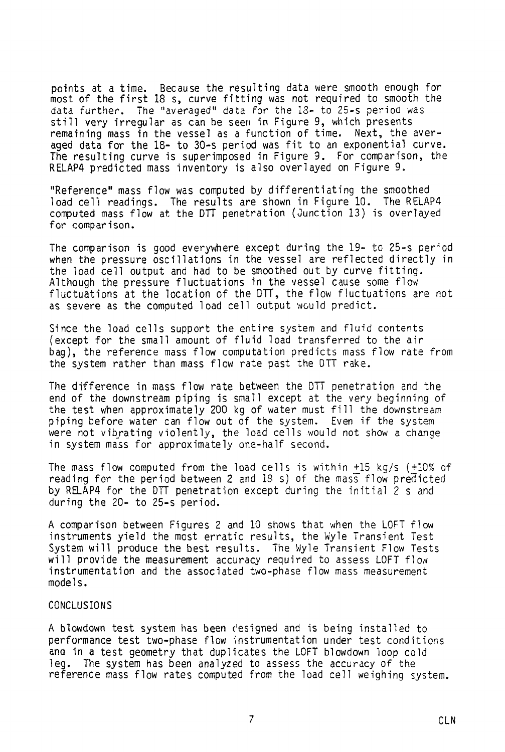points at a time. Because the resulting data were smooth enough for most of the first 18 s, curve fitting was not required to smooth the data further. The "averaged" data for the IS- to 25-s period was still very irregular as can be seen in Figure 9, which presents remaining mass in the vessel as a function of time. Next, the averaged data for the 18- to 30-s period was fit to an exponential curve. The resulting curve is superimposed in Figure 9. For comparison, the RELAP4 predicted mass inventory is also overlayed on Figure 9.

"Reference" mass flow was computed by differentiating the smoothed load cell readings. The results are shown in Figure 10. The RELAP4 computed mass flow at the DTT penetration (Junction 13) is overlayed for comparison.

The comparison is good everywhere except during the 19- to 25-s per-'od when the pressure oscillations in the vessel are reflected directly in the load cell output and had to be smoothed out by curve fitting. Although the pressure fluctuations in the vessel cause some flow fluctuations at the location of the DTT, the flow fluctuations are not as severe as the computed load cell output would predict.

Since the load cells support the entire system and fluid contents (except for the small amount of fluid load transferred to the air bag), the reference mass flow computation predicts mass flow rate from the system rather than mass flow rate past the DTT rake.

The difference in mass flow rate between the DTT penetration and the end of the downstream piping is small except at the very beginning of the test when approximately 200 kg of water must fill the downstream piping before water can flow out of the system. Even if the system were not vibrating violently, the load cells would not show a change in system mass for approximately one-half second.

The mass flow computed from the load cells is within  $+15$  kg/s ( $+10\%$  of reading for the period between 2 and IS s) of the mass flow predicted by RELAP4 for the DTT penetration except during the initial 2 s and during the 20- to 25-s period.

A comparison between Figures 2 and 10 shows that when the LOFT flow instruments yield the most erratic results, the Wyle Transient Test System will produce the best results. The Wyle Transient Flow Tests will provide the measurement accuracy required to assess LOFT flow instrumentation and the associated two-phase flow mass measurement models.

## CONCLUSIONS

A blowdown test system has been designed and is being installed to performance test two-phase flow instrumentation under test conditions and in a test geometry that duplicates the LOFT blowdown loop cold leg. The system has been analyzed to assess the accuracy of the reference mass flow rates computed from the load cell weighing system.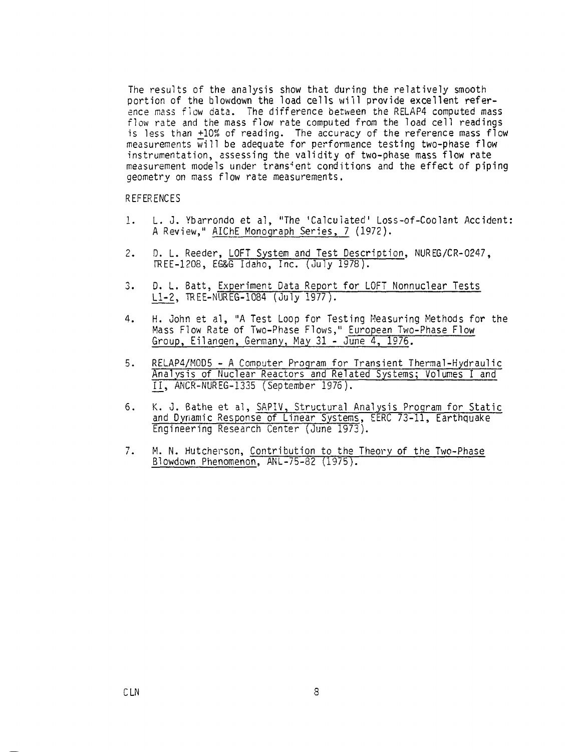The results of the analysis show that during the relatively smooth portion of the blowdown the load cells will provide excellent reference mass flow data. The difference between the RELAP4 computed mass flow rate and the mass flow rate computed from the load cell readings is less than  $+10%$  of reading. The accuracy of the reference mass flow measurements  $\overline{w}$ ill be adequate for performance testing two-phase flow instrumentation, assessing the validity of two-phase mass flow rate measurement models under transient conditions and the effect of piping geometry on mass flow rate measurements.

## REFERENCES

- 1. L. J. Ybarrondo et al, "The 'Calculated' Loss-of-Coolant Accident: A Review," AIChE Monograph Series, 7 (1972).
- 2. D. L. Reeder, LOFT System and Test Description, NUREG/CR-0247, FREE-1208, EG&G Idaho, Inc. (July 1978).
- 3. D. L. Batt, Experiment Data Report for LOFT Nonnuclear Tests 11-2, TREE-MUREG-1084 (July 1977).
- 4. H. John et al, "A Test Loop for Testing Measuring Methods for the Mass Flow Rate of Two-Phase Flows," European Two-Phase Flow Group, Eilangen, Germany, May 31 - June 4, 1976.
- 5. RELAP4/M0D5 A Computer Program for Transient Thermal-Hydraulic Analysis of Nuclear Reactors and Related Systems; Volumes I and H\_, ANCR-NUREG-1335 (September 1976).
- 6. K. J. Bathe et al, SAPIV, Structural Analysis Program for Static and Dynamic Response of Linear Systems, EERC 73-11, Earthquake Engineering Research Center (June 1973).
- 7. M. N. Hutcherson, Contribution to the Theory of the Two-Phase Blowdown Phenomenon, ANL-75-82 (1975).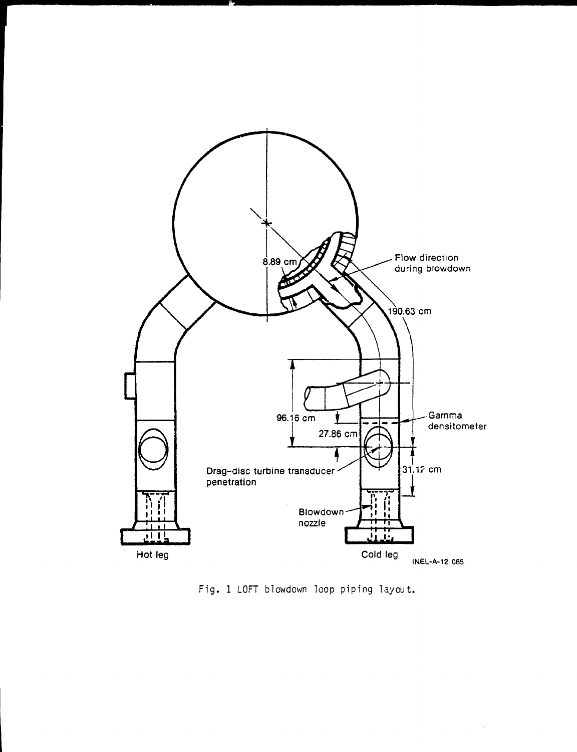

Fig. 1 LOFT blowdown loop piping layout.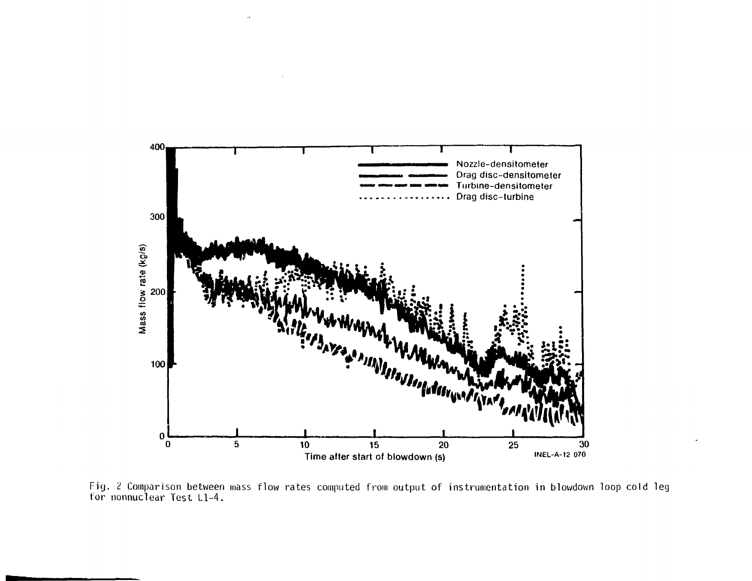

Fig. 2 Comparison between mass flow rates computed from output of instrumentation in blowdown loop cold leg tor nonnuclear lest Ll-4.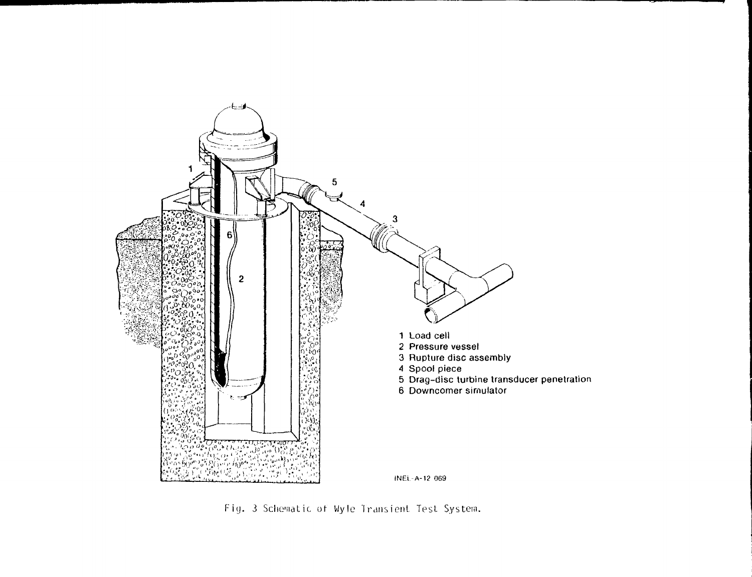

Fig. 3 Schematic of Wyle Transient Test System.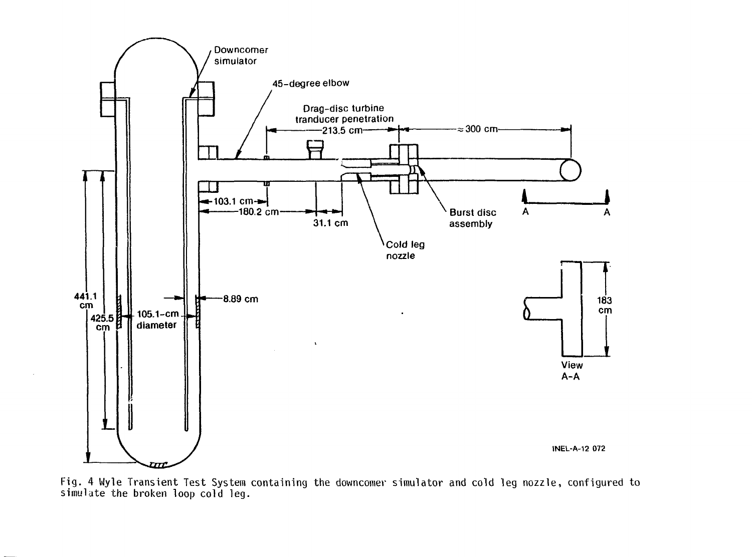

Fig. 4 Wyle Transient Test System containing the downcomer simulator and cold leg nozzle, configured to simulate the broken loop cold leg.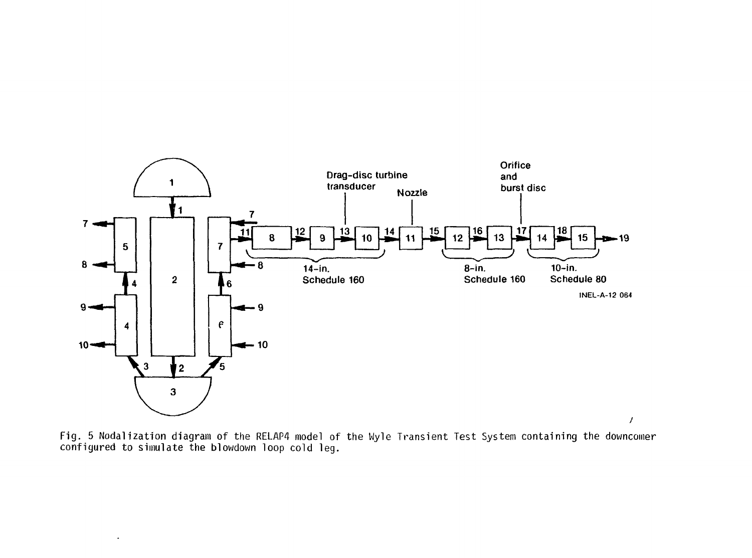

Fig. 5 Nodalization diagram of the RELAP4 model of the Wyle Transient Test System containing the downcomer configured to simulate the blowdown loop cold leg.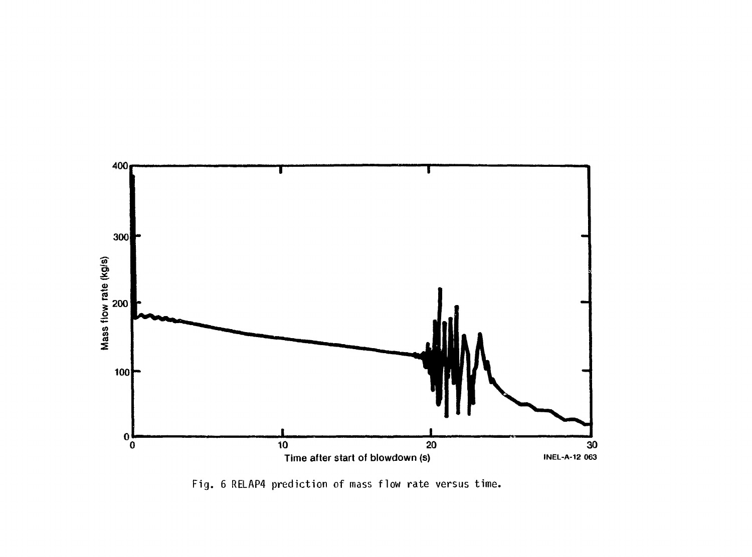

Fig. 6 RELAP4 prediction of mass flow rate versus time.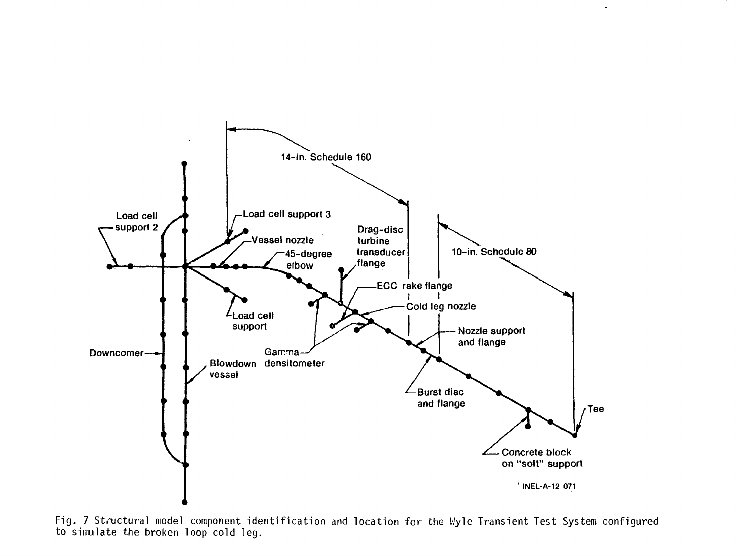

 $\Box$ 

Fig. 7 Structural model component identification and location for the Wyle Transient Test System confiqured to simulate the broken loop cold leg.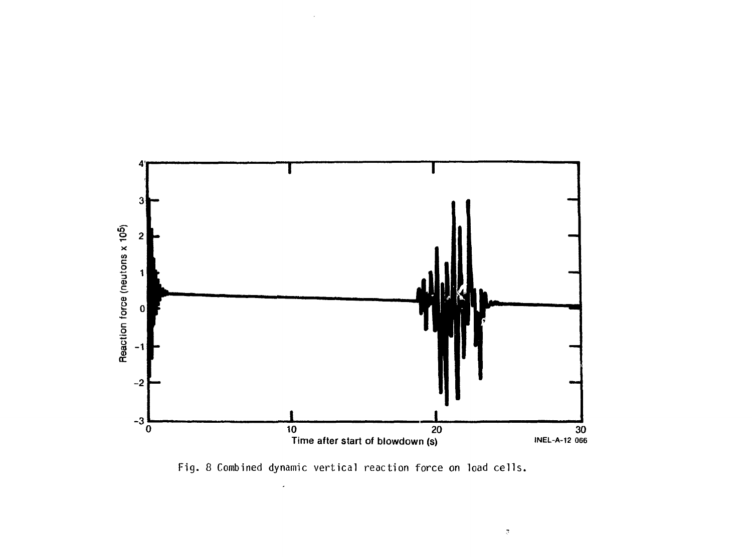

Fig. 8 Combined dynamic vertical reaction force on load cells.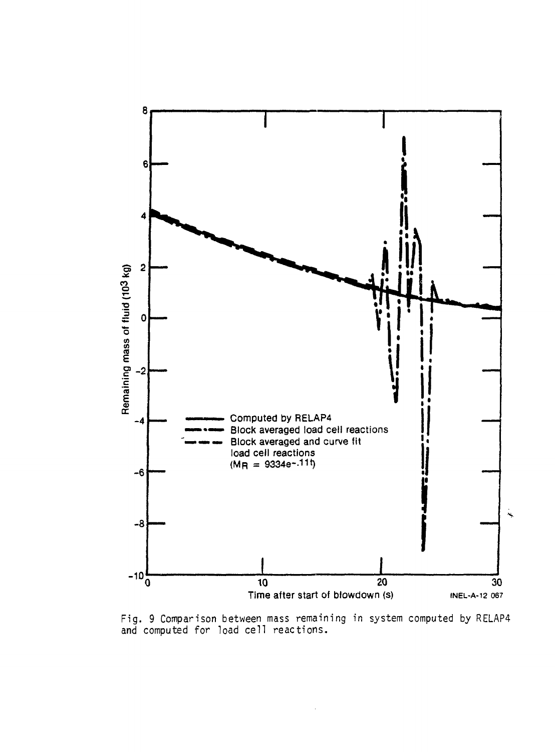

Fig. 9 Comparison between mass remaining in system computed by RELAP4 and computed for load cell reactions.